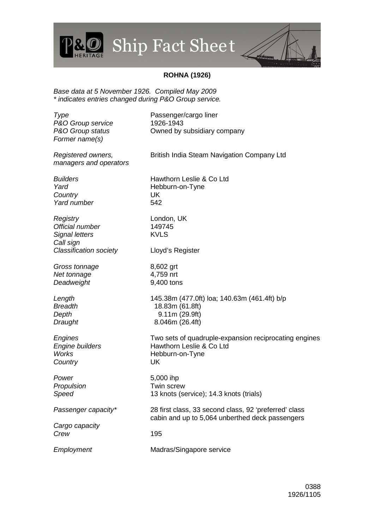## Ship Fact Sheet



## **ROHNA (1926)**

Base data at 5 November 1926. Compiled May 2009 \* indicates entries changed during P&O Group service.

P&

| Type<br>P&O Group service<br>P&O Group status<br>Former name(s)                                    | Passenger/cargo liner<br>1926-1943<br>Owned by subsidiary company                                          |
|----------------------------------------------------------------------------------------------------|------------------------------------------------------------------------------------------------------------|
| Registered owners,<br>managers and operators                                                       | British India Steam Navigation Company Ltd                                                                 |
| <b>Builders</b><br>Yard<br>Country<br>Yard number                                                  | Hawthorn Leslie & Co Ltd<br>Hebburn-on-Tyne<br>UK<br>542                                                   |
| Registry<br>Official number<br><b>Signal letters</b><br>Call sign<br><b>Classification society</b> | London, UK<br>149745<br><b>KVLS</b><br>Lloyd's Register                                                    |
| Gross tonnage<br>Net tonnage<br>Deadweight                                                         | 8,602 grt<br>4,759 nrt<br>9,400 tons                                                                       |
| Length<br><b>Breadth</b><br>Depth<br>Draught                                                       | 145.38m (477.0ft) loa; 140.63m (461.4ft) b/p<br>18.83m (61.8ft)<br>9.11m (29.9ft)<br>8.046m (26.4ft)       |
| Engines<br>Engine builders<br><b>Works</b><br>Country                                              | Two sets of quadruple-expansion reciprocating engines<br>Hawthorn Leslie & Co Ltd<br>Hebburn-on-Tyne<br>UK |
| Power<br>Propulsion<br>Speed                                                                       | 5,000 ihp<br>Twin screw<br>13 knots (service); 14.3 knots (trials)                                         |
| Passenger capacity*                                                                                | 28 first class, 33 second class, 92 'preferred' class<br>cabin and up to 5,064 unberthed deck passengers   |
| Cargo capacity<br>Crew                                                                             | 195                                                                                                        |
| Employment                                                                                         | Madras/Singapore service                                                                                   |